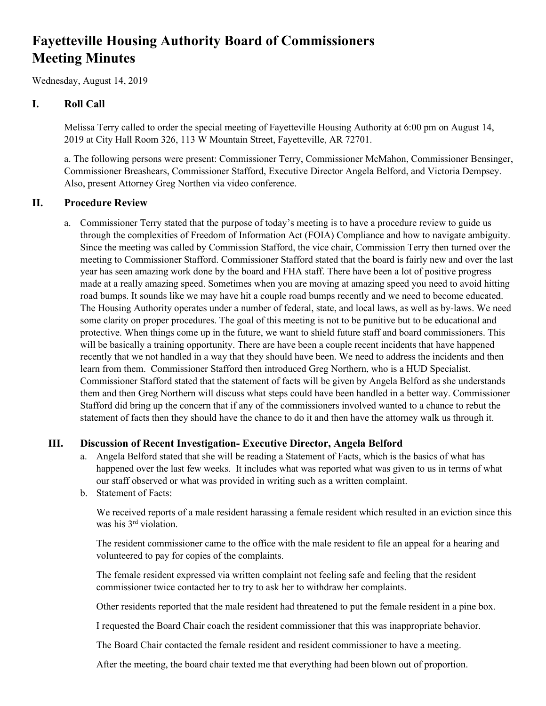# **Fayetteville Housing Authority Board of Commissioners Meeting Minutes**

Wednesday, August 14, 2019

# **I. Roll Call**

Melissa Terry called to order the special meeting of Fayetteville Housing Authority at 6:00 pm on August 14, 2019 at City Hall Room 326, 113 W Mountain Street, Fayetteville, AR 72701.

a. The following persons were present: Commissioner Terry, Commissioner McMahon, Commissioner Bensinger, Commissioner Breashears, Commissioner Stafford, Executive Director Angela Belford, and Victoria Dempsey. Also, present Attorney Greg Northen via video conference.

## **II. Procedure Review**

a. Commissioner Terry stated that the purpose of today's meeting is to have a procedure review to guide us through the complexities of Freedom of Information Act (FOIA) Compliance and how to navigate ambiguity. Since the meeting was called by Commission Stafford, the vice chair, Commission Terry then turned over the meeting to Commissioner Stafford. Commissioner Stafford stated that the board is fairly new and over the last year has seen amazing work done by the board and FHA staff. There have been a lot of positive progress made at a really amazing speed. Sometimes when you are moving at amazing speed you need to avoid hitting road bumps. It sounds like we may have hit a couple road bumps recently and we need to become educated. The Housing Authority operates under a number of federal, state, and local laws, as well as by-laws. We need some clarity on proper procedures. The goal of this meeting is not to be punitive but to be educational and protective. When things come up in the future, we want to shield future staff and board commissioners. This will be basically a training opportunity. There are have been a couple recent incidents that have happened recently that we not handled in a way that they should have been. We need to address the incidents and then learn from them. Commissioner Stafford then introduced Greg Northern, who is a HUD Specialist. Commissioner Stafford stated that the statement of facts will be given by Angela Belford as she understands them and then Greg Northern will discuss what steps could have been handled in a better way. Commissioner Stafford did bring up the concern that if any of the commissioners involved wanted to a chance to rebut the statement of facts then they should have the chance to do it and then have the attorney walk us through it.

## **III. Discussion of Recent Investigation- Executive Director, Angela Belford**

- a. Angela Belford stated that she will be reading a Statement of Facts, which is the basics of what has happened over the last few weeks. It includes what was reported what was given to us in terms of what our staff observed or what was provided in writing such as a written complaint.
- b. Statement of Facts:

We received reports of a male resident harassing a female resident which resulted in an eviction since this was his 3<sup>rd</sup> violation.

The resident commissioner came to the office with the male resident to file an appeal for a hearing and volunteered to pay for copies of the complaints.

The female resident expressed via written complaint not feeling safe and feeling that the resident commissioner twice contacted her to try to ask her to withdraw her complaints.

Other residents reported that the male resident had threatened to put the female resident in a pine box.

I requested the Board Chair coach the resident commissioner that this was inappropriate behavior.

The Board Chair contacted the female resident and resident commissioner to have a meeting.

After the meeting, the board chair texted me that everything had been blown out of proportion.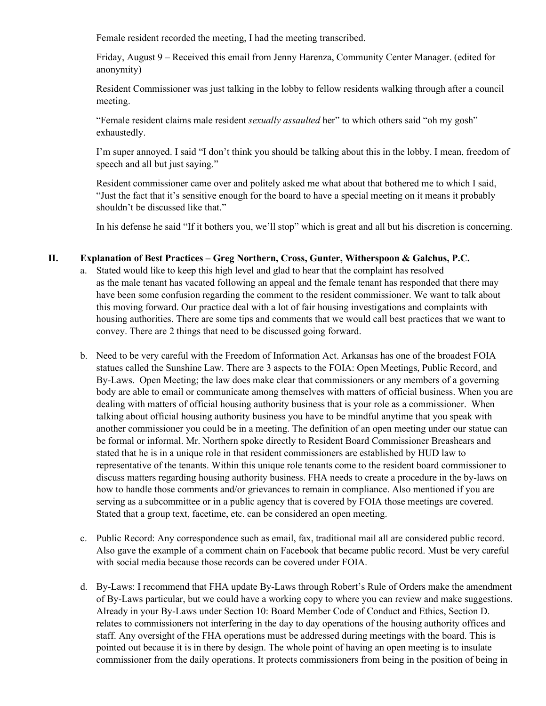Female resident recorded the meeting, I had the meeting transcribed.

Friday, August 9 – Received this email from Jenny Harenza, Community Center Manager. (edited for anonymity)

Resident Commissioner was just talking in the lobby to fellow residents walking through after a council meeting.

"Female resident claims male resident *sexually assaulted* her" to which others said "oh my gosh" exhaustedly.

I'm super annoyed. I said "I don't think you should be talking about this in the lobby. I mean, freedom of speech and all but just saying."

Resident commissioner came over and politely asked me what about that bothered me to which I said, "Just the fact that it's sensitive enough for the board to have a special meeting on it means it probably shouldn't be discussed like that."

In his defense he said "If it bothers you, we'll stop" which is great and all but his discretion is concerning.

#### **II. Explanation of Best Practices – Greg Northern, Cross, Gunter, Witherspoon & Galchus, P.C.**

- a. Stated would like to keep this high level and glad to hear that the complaint has resolved as the male tenant has vacated following an appeal and the female tenant has responded that there may have been some confusion regarding the comment to the resident commissioner. We want to talk about this moving forward. Our practice deal with a lot of fair housing investigations and complaints with housing authorities. There are some tips and comments that we would call best practices that we want to convey. There are 2 things that need to be discussed going forward.
- b. Need to be very careful with the Freedom of Information Act. Arkansas has one of the broadest FOIA statues called the Sunshine Law. There are 3 aspects to the FOIA: Open Meetings, Public Record, and By-Laws. Open Meeting; the law does make clear that commissioners or any members of a governing body are able to email or communicate among themselves with matters of official business. When you are dealing with matters of official housing authority business that is your role as a commissioner. When talking about official housing authority business you have to be mindful anytime that you speak with another commissioner you could be in a meeting. The definition of an open meeting under our statue can be formal or informal. Mr. Northern spoke directly to Resident Board Commissioner Breashears and stated that he is in a unique role in that resident commissioners are established by HUD law to representative of the tenants. Within this unique role tenants come to the resident board commissioner to discuss matters regarding housing authority business. FHA needs to create a procedure in the by-laws on how to handle those comments and/or grievances to remain in compliance. Also mentioned if you are serving as a subcommittee or in a public agency that is covered by FOIA those meetings are covered. Stated that a group text, facetime, etc. can be considered an open meeting.
- c. Public Record: Any correspondence such as email, fax, traditional mail all are considered public record. Also gave the example of a comment chain on Facebook that became public record. Must be very careful with social media because those records can be covered under FOIA.
- d. By-Laws: I recommend that FHA update By-Laws through Robert's Rule of Orders make the amendment of By-Laws particular, but we could have a working copy to where you can review and make suggestions. Already in your By-Laws under Section 10: Board Member Code of Conduct and Ethics, Section D. relates to commissioners not interfering in the day to day operations of the housing authority offices and staff. Any oversight of the FHA operations must be addressed during meetings with the board. This is pointed out because it is in there by design. The whole point of having an open meeting is to insulate commissioner from the daily operations. It protects commissioners from being in the position of being in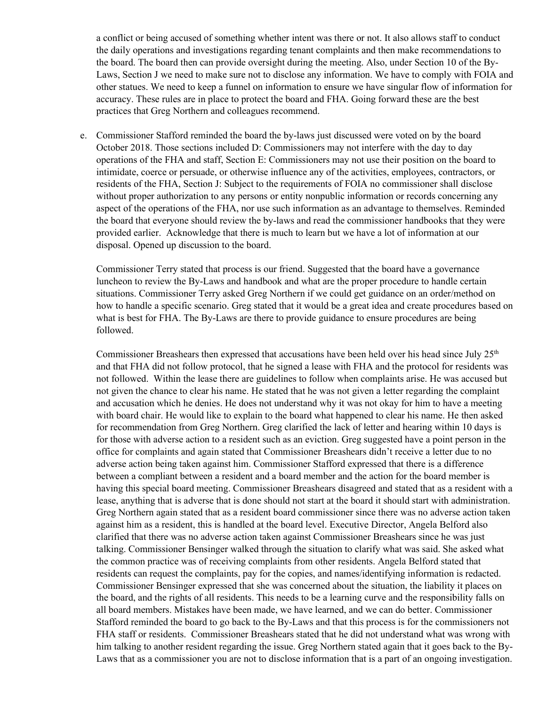a conflict or being accused of something whether intent was there or not. It also allows staff to conduct the daily operations and investigations regarding tenant complaints and then make recommendations to the board. The board then can provide oversight during the meeting. Also, under Section 10 of the By-Laws, Section J we need to make sure not to disclose any information. We have to comply with FOIA and other statues. We need to keep a funnel on information to ensure we have singular flow of information for accuracy. These rules are in place to protect the board and FHA. Going forward these are the best practices that Greg Northern and colleagues recommend.

e. Commissioner Stafford reminded the board the by-laws just discussed were voted on by the board October 2018. Those sections included D: Commissioners may not interfere with the day to day operations of the FHA and staff, Section E: Commissioners may not use their position on the board to intimidate, coerce or persuade, or otherwise influence any of the activities, employees, contractors, or residents of the FHA, Section J: Subject to the requirements of FOIA no commissioner shall disclose without proper authorization to any persons or entity nonpublic information or records concerning any aspect of the operations of the FHA, nor use such information as an advantage to themselves. Reminded the board that everyone should review the by-laws and read the commissioner handbooks that they were provided earlier. Acknowledge that there is much to learn but we have a lot of information at our disposal. Opened up discussion to the board.

Commissioner Terry stated that process is our friend. Suggested that the board have a governance luncheon to review the By-Laws and handbook and what are the proper procedure to handle certain situations. Commissioner Terry asked Greg Northern if we could get guidance on an order/method on how to handle a specific scenario. Greg stated that it would be a great idea and create procedures based on what is best for FHA. The By-Laws are there to provide guidance to ensure procedures are being followed.

Commissioner Breashears then expressed that accusations have been held over his head since July  $25<sup>th</sup>$ and that FHA did not follow protocol, that he signed a lease with FHA and the protocol for residents was not followed. Within the lease there are guidelines to follow when complaints arise. He was accused but not given the chance to clear his name. He stated that he was not given a letter regarding the complaint and accusation which he denies. He does not understand why it was not okay for him to have a meeting with board chair. He would like to explain to the board what happened to clear his name. He then asked for recommendation from Greg Northern. Greg clarified the lack of letter and hearing within 10 days is for those with adverse action to a resident such as an eviction. Greg suggested have a point person in the office for complaints and again stated that Commissioner Breashears didn't receive a letter due to no adverse action being taken against him. Commissioner Stafford expressed that there is a difference between a compliant between a resident and a board member and the action for the board member is having this special board meeting. Commissioner Breashears disagreed and stated that as a resident with a lease, anything that is adverse that is done should not start at the board it should start with administration. Greg Northern again stated that as a resident board commissioner since there was no adverse action taken against him as a resident, this is handled at the board level. Executive Director, Angela Belford also clarified that there was no adverse action taken against Commissioner Breashears since he was just talking. Commissioner Bensinger walked through the situation to clarify what was said. She asked what the common practice was of receiving complaints from other residents. Angela Belford stated that residents can request the complaints, pay for the copies, and names/identifying information is redacted. Commissioner Bensinger expressed that she was concerned about the situation, the liability it places on the board, and the rights of all residents. This needs to be a learning curve and the responsibility falls on all board members. Mistakes have been made, we have learned, and we can do better. Commissioner Stafford reminded the board to go back to the By-Laws and that this process is for the commissioners not FHA staff or residents. Commissioner Breashears stated that he did not understand what was wrong with him talking to another resident regarding the issue. Greg Northern stated again that it goes back to the By-Laws that as a commissioner you are not to disclose information that is a part of an ongoing investigation.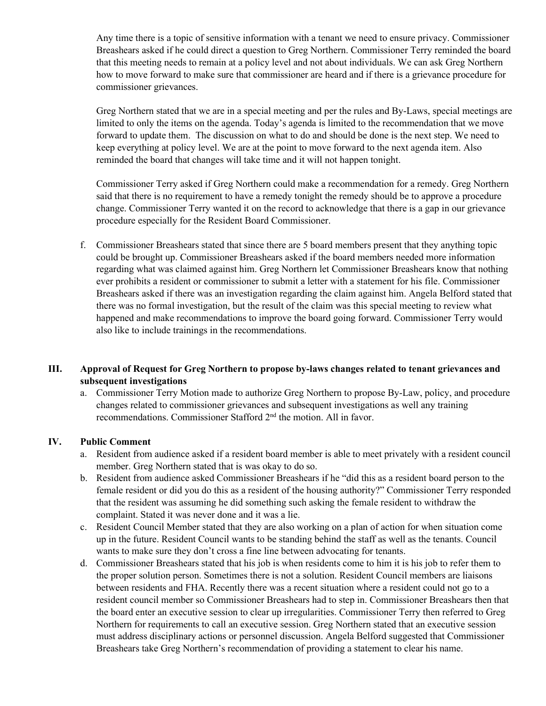Any time there is a topic of sensitive information with a tenant we need to ensure privacy. Commissioner Breashears asked if he could direct a question to Greg Northern. Commissioner Terry reminded the board that this meeting needs to remain at a policy level and not about individuals. We can ask Greg Northern how to move forward to make sure that commissioner are heard and if there is a grievance procedure for commissioner grievances.

Greg Northern stated that we are in a special meeting and per the rules and By-Laws, special meetings are limited to only the items on the agenda. Today's agenda is limited to the recommendation that we move forward to update them. The discussion on what to do and should be done is the next step. We need to keep everything at policy level. We are at the point to move forward to the next agenda item. Also reminded the board that changes will take time and it will not happen tonight.

Commissioner Terry asked if Greg Northern could make a recommendation for a remedy. Greg Northern said that there is no requirement to have a remedy tonight the remedy should be to approve a procedure change. Commissioner Terry wanted it on the record to acknowledge that there is a gap in our grievance procedure especially for the Resident Board Commissioner.

f. Commissioner Breashears stated that since there are 5 board members present that they anything topic could be brought up. Commissioner Breashears asked if the board members needed more information regarding what was claimed against him. Greg Northern let Commissioner Breashears know that nothing ever prohibits a resident or commissioner to submit a letter with a statement for his file. Commissioner Breashears asked if there was an investigation regarding the claim against him. Angela Belford stated that there was no formal investigation, but the result of the claim was this special meeting to review what happened and make recommendations to improve the board going forward. Commissioner Terry would also like to include trainings in the recommendations.

## **III. Approval of Request for Greg Northern to propose by-laws changes related to tenant grievances and subsequent investigations**

a. Commissioner Terry Motion made to authorize Greg Northern to propose By-Law, policy, and procedure changes related to commissioner grievances and subsequent investigations as well any training recommendations. Commissioner Stafford 2nd the motion. All in favor.

#### **IV. Public Comment**

- a. Resident from audience asked if a resident board member is able to meet privately with a resident council member. Greg Northern stated that is was okay to do so.
- b. Resident from audience asked Commissioner Breashears if he "did this as a resident board person to the female resident or did you do this as a resident of the housing authority?" Commissioner Terry responded that the resident was assuming he did something such asking the female resident to withdraw the complaint. Stated it was never done and it was a lie.
- c. Resident Council Member stated that they are also working on a plan of action for when situation come up in the future. Resident Council wants to be standing behind the staff as well as the tenants. Council wants to make sure they don't cross a fine line between advocating for tenants.
- d. Commissioner Breashears stated that his job is when residents come to him it is his job to refer them to the proper solution person. Sometimes there is not a solution. Resident Council members are liaisons between residents and FHA. Recently there was a recent situation where a resident could not go to a resident council member so Commissioner Breashears had to step in. Commissioner Breashears then that the board enter an executive session to clear up irregularities. Commissioner Terry then referred to Greg Northern for requirements to call an executive session. Greg Northern stated that an executive session must address disciplinary actions or personnel discussion. Angela Belford suggested that Commissioner Breashears take Greg Northern's recommendation of providing a statement to clear his name.